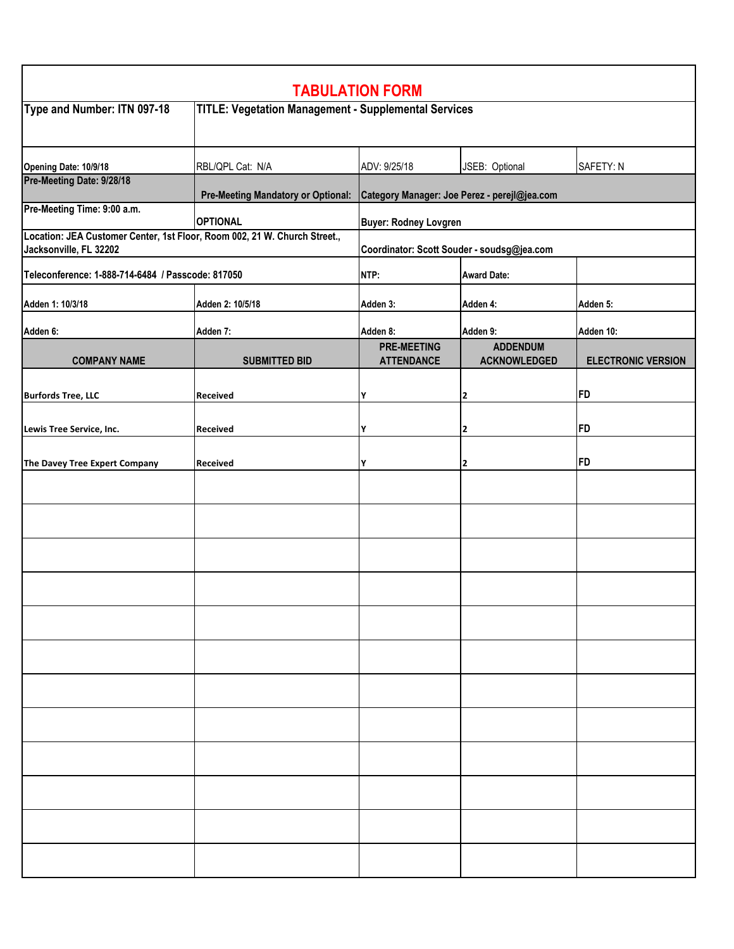| <b>TABULATION FORM</b>                                                                              |                                                             |                                              |                         |                           |  |  |
|-----------------------------------------------------------------------------------------------------|-------------------------------------------------------------|----------------------------------------------|-------------------------|---------------------------|--|--|
| Type and Number: ITN 097-18                                                                         | <b>TITLE: Vegetation Management - Supplemental Services</b> |                                              |                         |                           |  |  |
| Opening Date: 10/9/18                                                                               | RBL/QPL Cat: N/A                                            | ADV: 9/25/18                                 | JSEB: Optional          | SAFETY: N                 |  |  |
| Pre-Meeting Date: 9/28/18                                                                           | <b>Pre-Meeting Mandatory or Optional:</b>                   | Category Manager: Joe Perez - perejl@jea.com |                         |                           |  |  |
| Pre-Meeting Time: 9:00 a.m.                                                                         | <b>OPTIONAL</b>                                             | <b>Buyer: Rodney Lovgren</b>                 |                         |                           |  |  |
| Location: JEA Customer Center, 1st Floor, Room 002, 21 W. Church Street.,<br>Jacksonville, FL 32202 |                                                             | Coordinator: Scott Souder - soudsg@jea.com   |                         |                           |  |  |
| Teleconference: 1-888-714-6484 / Passcode: 817050                                                   |                                                             | NTP:                                         | <b>Award Date:</b>      |                           |  |  |
| Adden 1: 10/3/18                                                                                    | Adden 2: 10/5/18                                            | Adden 3:                                     | Adden 4:                | Adden 5:                  |  |  |
| Adden 6:                                                                                            | Adden 7:                                                    | Adden 8:                                     | Adden 9:                | Adden 10:                 |  |  |
|                                                                                                     |                                                             | <b>PRE-MEETING</b>                           | <b>ADDENDUM</b>         |                           |  |  |
| <b>COMPANY NAME</b>                                                                                 | <b>SUBMITTED BID</b>                                        | <b>ATTENDANCE</b>                            | <b>ACKNOWLEDGED</b>     | <b>ELECTRONIC VERSION</b> |  |  |
| <b>Burfords Tree, LLC</b>                                                                           | Received                                                    | Υ                                            | $\overline{\mathbf{2}}$ | FD                        |  |  |
|                                                                                                     |                                                             |                                              |                         |                           |  |  |
| Lewis Tree Service, Inc.                                                                            | Received                                                    | Υ                                            | $\overline{2}$          | FD                        |  |  |
| The Davey Tree Expert Company                                                                       | Received                                                    | Υ                                            | $\overline{\mathbf{2}}$ | <b>FD</b>                 |  |  |
|                                                                                                     |                                                             |                                              |                         |                           |  |  |
|                                                                                                     |                                                             |                                              |                         |                           |  |  |
|                                                                                                     |                                                             |                                              |                         |                           |  |  |
|                                                                                                     |                                                             |                                              |                         |                           |  |  |
|                                                                                                     |                                                             |                                              |                         |                           |  |  |
|                                                                                                     |                                                             |                                              |                         |                           |  |  |
|                                                                                                     |                                                             |                                              |                         |                           |  |  |
|                                                                                                     |                                                             |                                              |                         |                           |  |  |
|                                                                                                     |                                                             |                                              |                         |                           |  |  |
|                                                                                                     |                                                             |                                              |                         |                           |  |  |
|                                                                                                     |                                                             |                                              |                         |                           |  |  |
|                                                                                                     |                                                             |                                              |                         |                           |  |  |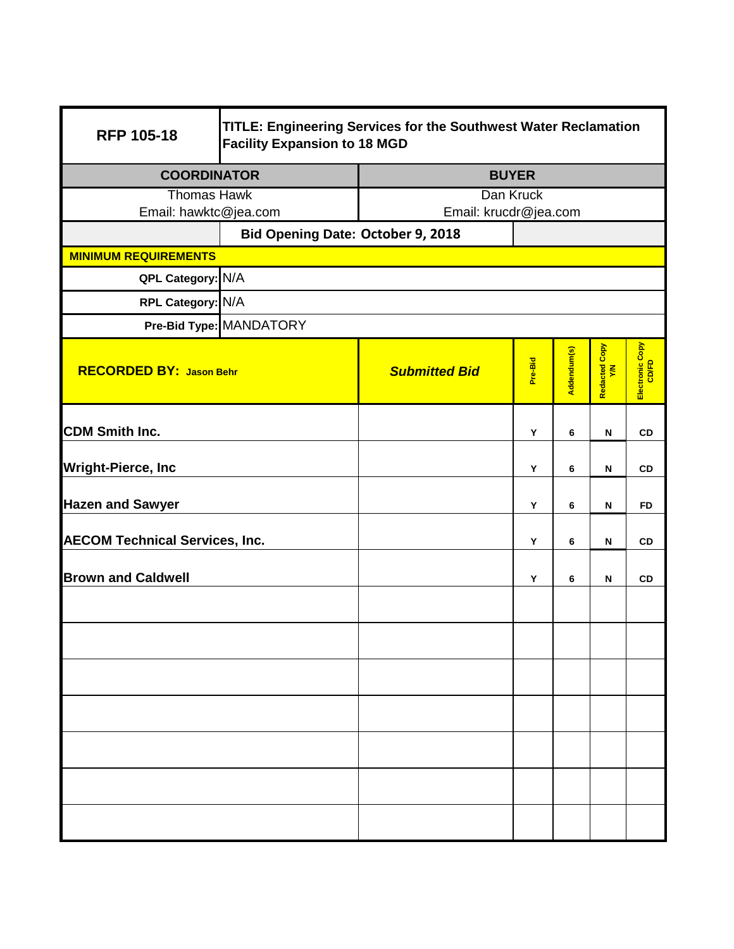| <b>RFP 105-18</b>                     | TITLE: Engineering Services for the Southwest Water Reclamation<br><b>Facility Expansion to 18 MGD</b> |                       |           |             |                      |                          |  |
|---------------------------------------|--------------------------------------------------------------------------------------------------------|-----------------------|-----------|-------------|----------------------|--------------------------|--|
| <b>COORDINATOR</b>                    |                                                                                                        | <b>BUYER</b>          |           |             |                      |                          |  |
| <b>Thomas Hawk</b>                    |                                                                                                        |                       | Dan Kruck |             |                      |                          |  |
| Email: hawktc@jea.com                 |                                                                                                        | Email: krucdr@jea.com |           |             |                      |                          |  |
|                                       | Bid Opening Date: October 9, 2018                                                                      |                       |           |             |                      |                          |  |
| <b>MINIMUM REQUIREMENTS</b>           |                                                                                                        |                       |           |             |                      |                          |  |
| QPL Category: N/A                     |                                                                                                        |                       |           |             |                      |                          |  |
| RPL Category: N/A                     |                                                                                                        |                       |           |             |                      |                          |  |
|                                       | Pre-Bid Type: MANDATORY                                                                                |                       |           |             |                      |                          |  |
| <b>RECORDED BY: Jason Behr</b>        |                                                                                                        | <b>Submitted Bid</b>  | Pre-Bid   | Addendum(s) | Redacted Copy<br>Y/N | Electronic Copy<br>CD/FD |  |
| <b>CDM Smith Inc.</b>                 |                                                                                                        |                       | Y         | 6           | N                    | <b>CD</b>                |  |
| <b>Wright-Pierce, Inc</b>             |                                                                                                        |                       | Υ         | 6           | N                    | <b>CD</b>                |  |
| <b>Hazen and Sawyer</b>               |                                                                                                        |                       | Y         | 6           | N                    | <b>FD</b>                |  |
| <b>AECOM Technical Services, Inc.</b> |                                                                                                        |                       | Υ         | 6           | $\mathbf N$          | <b>CD</b>                |  |
| <b>Brown and Caldwell</b>             |                                                                                                        |                       | Y         | 6           | N                    | CD                       |  |
|                                       |                                                                                                        |                       |           |             |                      |                          |  |
|                                       |                                                                                                        |                       |           |             |                      |                          |  |
|                                       |                                                                                                        |                       |           |             |                      |                          |  |
|                                       |                                                                                                        |                       |           |             |                      |                          |  |
|                                       |                                                                                                        |                       |           |             |                      |                          |  |
|                                       |                                                                                                        |                       |           |             |                      |                          |  |
|                                       |                                                                                                        |                       |           |             |                      |                          |  |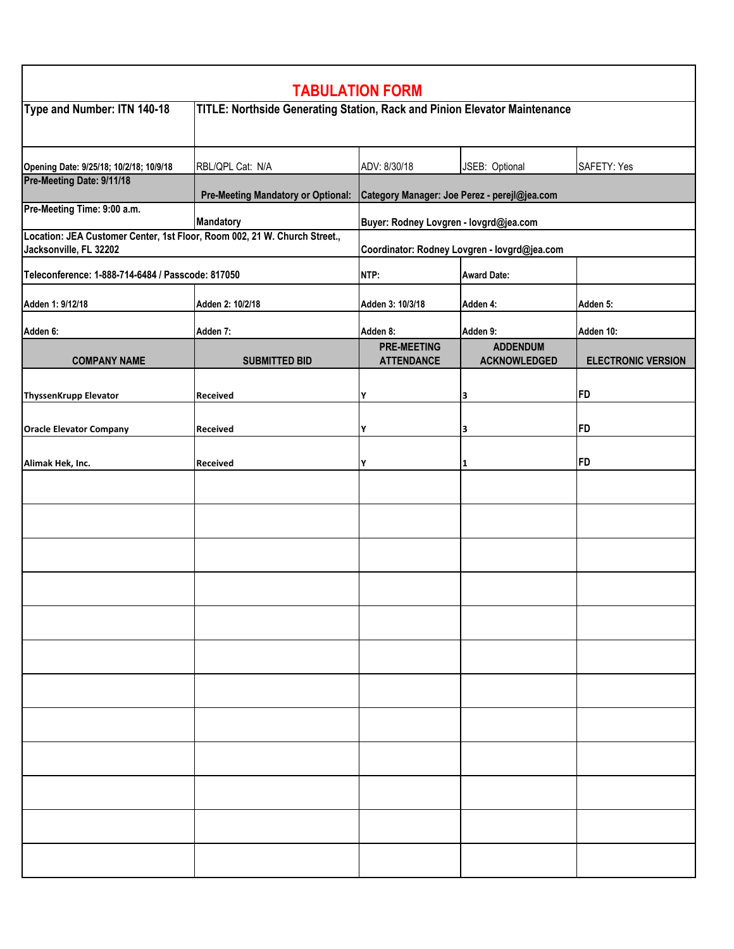| <b>TABULATION FORM</b>                                                                              |                                                                           |                                              |                     |                           |  |  |
|-----------------------------------------------------------------------------------------------------|---------------------------------------------------------------------------|----------------------------------------------|---------------------|---------------------------|--|--|
| Type and Number: ITN 140-18                                                                         | TITLE: Northside Generating Station, Rack and Pinion Elevator Maintenance |                                              |                     |                           |  |  |
| Opening Date: 9/25/18; 10/2/18; 10/9/18<br>Pre-Meeting Date: 9/11/18                                | RBL/QPL Cat: N/A                                                          | ADV: 8/30/18                                 | JSEB: Optional      | SAFETY: Yes               |  |  |
|                                                                                                     | <b>Pre-Meeting Mandatory or Optional:</b>                                 | Category Manager: Joe Perez - perejl@jea.com |                     |                           |  |  |
| Pre-Meeting Time: 9:00 a.m.                                                                         | Mandatory                                                                 | Buyer: Rodney Lovgren - lovgrd@jea.com       |                     |                           |  |  |
| Location: JEA Customer Center, 1st Floor, Room 002, 21 W. Church Street.,<br>Jacksonville, FL 32202 |                                                                           | Coordinator: Rodney Lovgren - lovgrd@jea.com |                     |                           |  |  |
| Teleconference: 1-888-714-6484 / Passcode: 817050                                                   |                                                                           | NTP:                                         | <b>Award Date:</b>  |                           |  |  |
| Adden 1: 9/12/18                                                                                    | Adden 2: 10/2/18                                                          | Adden 3: 10/3/18                             | Adden 4:            | Adden 5:                  |  |  |
| Adden 6:                                                                                            | Adden 7:                                                                  | Adden 8:                                     | Adden 9:            | Adden 10:                 |  |  |
|                                                                                                     |                                                                           | <b>PRE-MEETING</b>                           | <b>ADDENDUM</b>     |                           |  |  |
| <b>COMPANY NAME</b>                                                                                 | <b>SUBMITTED BID</b>                                                      | <b>ATTENDANCE</b>                            | <b>ACKNOWLEDGED</b> | <b>ELECTRONIC VERSION</b> |  |  |
| <b>ThyssenKrupp Elevator</b>                                                                        | Received                                                                  | Υ                                            | 3                   | <b>FD</b>                 |  |  |
|                                                                                                     |                                                                           |                                              |                     |                           |  |  |
| <b>Oracle Elevator Company</b>                                                                      | Received                                                                  | Υ                                            | 3                   | <b>FD</b>                 |  |  |
| Alimak Hek, Inc.                                                                                    | Received                                                                  | Υ                                            | 1                   | <b>FD</b>                 |  |  |
|                                                                                                     |                                                                           |                                              |                     |                           |  |  |
|                                                                                                     |                                                                           |                                              |                     |                           |  |  |
|                                                                                                     |                                                                           |                                              |                     |                           |  |  |
|                                                                                                     |                                                                           |                                              |                     |                           |  |  |
|                                                                                                     |                                                                           |                                              |                     |                           |  |  |
|                                                                                                     |                                                                           |                                              |                     |                           |  |  |
|                                                                                                     |                                                                           |                                              |                     |                           |  |  |
|                                                                                                     |                                                                           |                                              |                     |                           |  |  |
|                                                                                                     |                                                                           |                                              |                     |                           |  |  |
|                                                                                                     |                                                                           |                                              |                     |                           |  |  |
|                                                                                                     |                                                                           |                                              |                     |                           |  |  |
|                                                                                                     |                                                                           |                                              |                     |                           |  |  |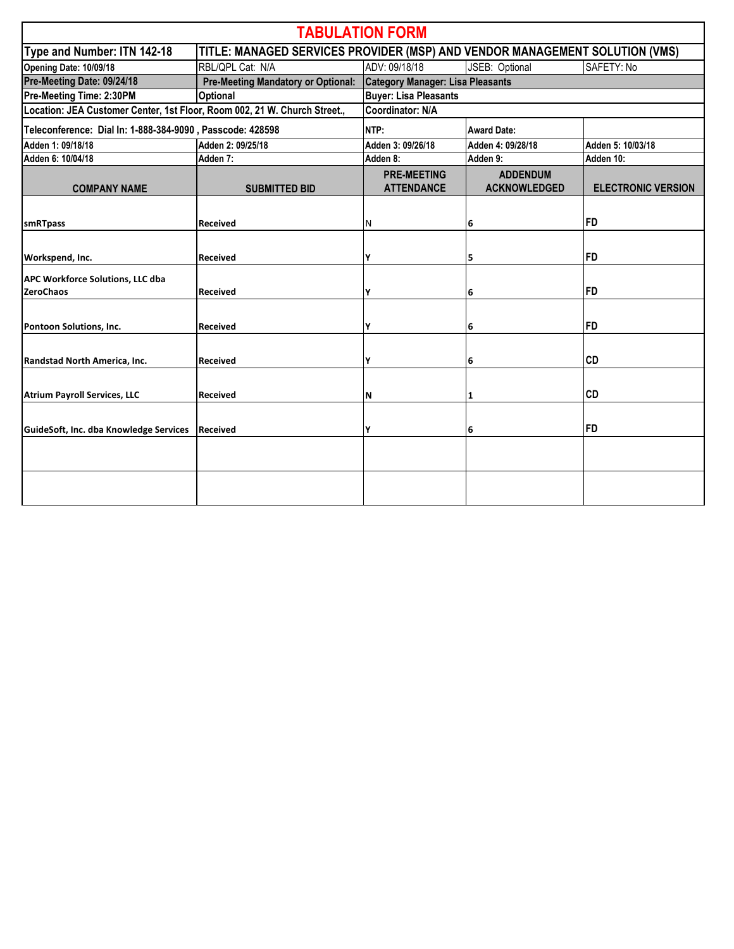|                                                                                                            |                                           | <b>TABULATION FORM</b>                  |                                        |                           |  |  |
|------------------------------------------------------------------------------------------------------------|-------------------------------------------|-----------------------------------------|----------------------------------------|---------------------------|--|--|
| TITLE: MANAGED SERVICES PROVIDER (MSP) AND VENDOR MANAGEMENT SOLUTION (VMS)<br>Type and Number: ITN 142-18 |                                           |                                         |                                        |                           |  |  |
| Opening Date: 10/09/18                                                                                     | RBL/QPL Cat: N/A                          | ADV: 09/18/18                           | JSEB: Optional                         | SAFETY: No                |  |  |
| Pre-Meeting Date: 09/24/18                                                                                 | <b>Pre-Meeting Mandatory or Optional:</b> | <b>Category Manager: Lisa Pleasants</b> |                                        |                           |  |  |
| Pre-Meeting Time: 2:30PM                                                                                   | <b>Optional</b>                           | <b>Buyer: Lisa Pleasants</b>            |                                        |                           |  |  |
| Location: JEA Customer Center, 1st Floor, Room 002, 21 W. Church Street.,                                  |                                           | Coordinator: N/A                        |                                        |                           |  |  |
| Teleconference: Dial In: 1-888-384-9090, Passcode: 428598                                                  |                                           | NTP:                                    | <b>Award Date:</b>                     |                           |  |  |
| Adden 1: 09/18/18                                                                                          | Adden 2: 09/25/18                         | Adden 3: 09/26/18                       | Adden 4: 09/28/18                      | Adden 5: 10/03/18         |  |  |
| Adden 6: 10/04/18                                                                                          | Adden 7:                                  | Adden 8:                                | Adden 9:                               | Adden 10:                 |  |  |
| <b>COMPANY NAME</b>                                                                                        | <b>SUBMITTED BID</b>                      | <b>PRE-MEETING</b><br><b>ATTENDANCE</b> | <b>ADDENDUM</b><br><b>ACKNOWLEDGED</b> | <b>ELECTRONIC VERSION</b> |  |  |
| smRTpass                                                                                                   | <b>Received</b>                           | N                                       | 6                                      | FD                        |  |  |
| Workspend, Inc.                                                                                            | <b>Received</b>                           | γ                                       | 5                                      | FD                        |  |  |
| APC Workforce Solutions, LLC dba<br><b>ZeroChaos</b>                                                       | <b>Received</b>                           | Υ                                       | 6                                      | <b>FD</b>                 |  |  |
| Pontoon Solutions, Inc.                                                                                    | <b>Received</b>                           | γ                                       | 6                                      | <b>FD</b>                 |  |  |
| Randstad North America, Inc.                                                                               | <b>Received</b>                           | γ                                       | 6                                      | <b>CD</b>                 |  |  |
| <b>Atrium Payroll Services, LLC</b>                                                                        | <b>Received</b>                           | N                                       | $\mathbf{1}$                           | <b>CD</b>                 |  |  |
| GuideSoft, Inc. dba Knowledge Services                                                                     | <b>Received</b>                           | γ                                       | 6                                      | <b>FD</b>                 |  |  |
|                                                                                                            |                                           |                                         |                                        |                           |  |  |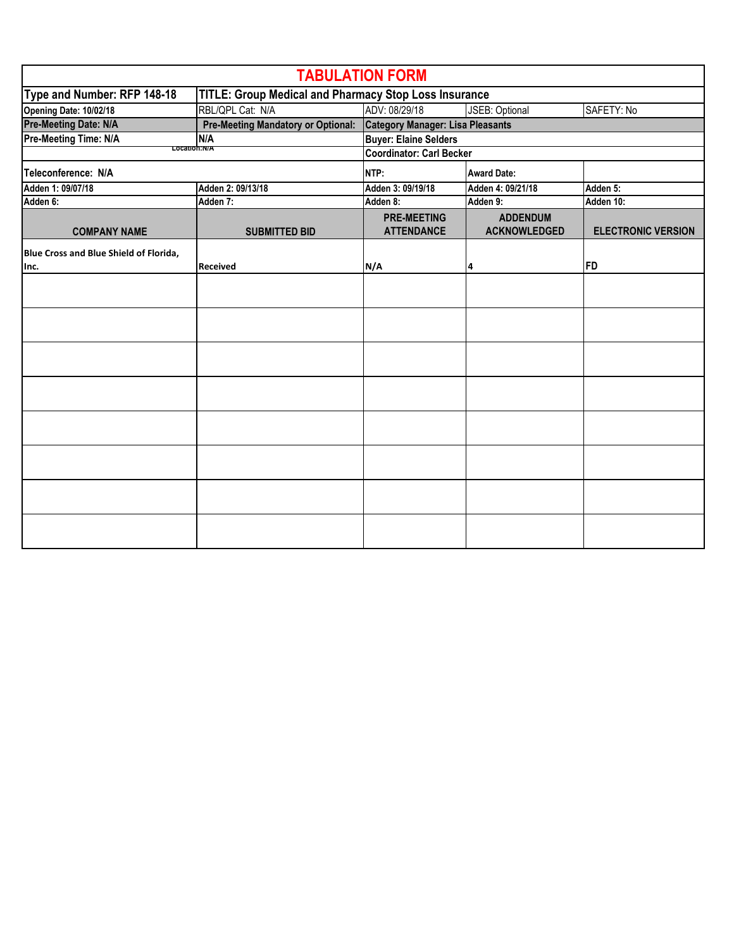| <b>TABULATION FORM</b>                 |                                                       |                                         |                     |                           |  |
|----------------------------------------|-------------------------------------------------------|-----------------------------------------|---------------------|---------------------------|--|
| Type and Number: RFP 148-18            | TITLE: Group Medical and Pharmacy Stop Loss Insurance |                                         |                     |                           |  |
| Opening Date: 10/02/18                 | RBL/QPL Cat: N/A                                      | ADV: 08/29/18                           | JSEB: Optional      | SAFETY: No                |  |
| <b>Pre-Meeting Date: N/A</b>           | <b>Pre-Meeting Mandatory or Optional:</b>             | <b>Category Manager: Lisa Pleasants</b> |                     |                           |  |
| Pre-Meeting Time: N/A                  | N/A                                                   | <b>Buyer: Elaine Selders</b>            |                     |                           |  |
|                                        | Location:N/A                                          | <b>Coordinator: Carl Becker</b>         |                     |                           |  |
| Teleconference: N/A                    |                                                       | NTP:                                    | <b>Award Date:</b>  |                           |  |
| Adden 1: 09/07/18                      | Adden 2: 09/13/18                                     | Adden 3: 09/19/18                       | Adden 4: 09/21/18   | Adden 5:                  |  |
| Adden 6:                               | Adden 7:                                              | Adden 8:                                | Adden 9:            | Adden 10:                 |  |
|                                        |                                                       | <b>PRE-MEETING</b>                      | <b>ADDENDUM</b>     |                           |  |
| <b>COMPANY NAME</b>                    | <b>SUBMITTED BID</b>                                  | <b>ATTENDANCE</b>                       | <b>ACKNOWLEDGED</b> | <b>ELECTRONIC VERSION</b> |  |
| Blue Cross and Blue Shield of Florida, |                                                       |                                         |                     |                           |  |
| Inc.                                   | <b>Received</b>                                       | N/A                                     | 4                   | FD                        |  |
|                                        |                                                       |                                         |                     |                           |  |
|                                        |                                                       |                                         |                     |                           |  |
|                                        |                                                       |                                         |                     |                           |  |
|                                        |                                                       |                                         |                     |                           |  |
|                                        |                                                       |                                         |                     |                           |  |
|                                        |                                                       |                                         |                     |                           |  |
|                                        |                                                       |                                         |                     |                           |  |
|                                        |                                                       |                                         |                     |                           |  |